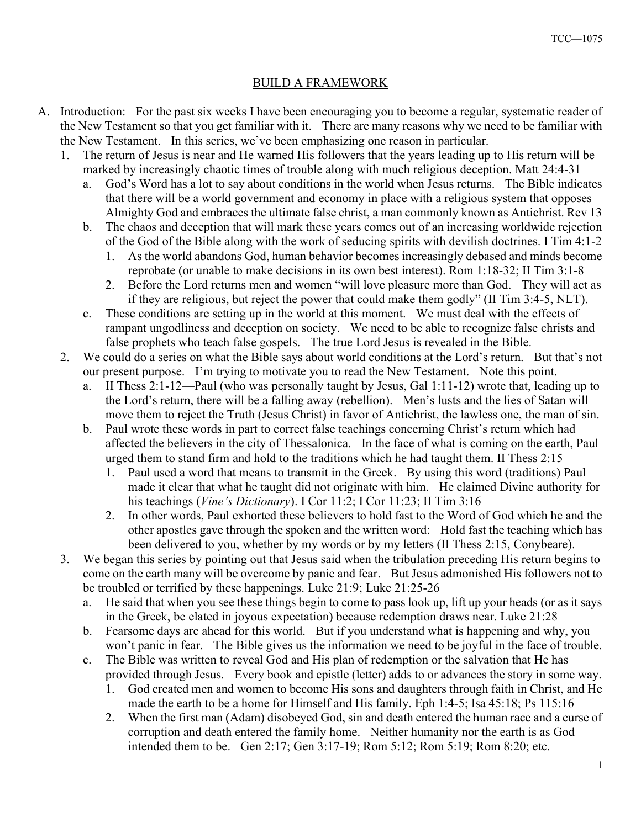## BUILD A FRAMEWORK

- A. Introduction: For the past six weeks I have been encouraging you to become a regular, systematic reader of the New Testament so that you get familiar with it. There are many reasons why we need to be familiar with the New Testament. In this series, we've been emphasizing one reason in particular.
	- 1. The return of Jesus is near and He warned His followers that the years leading up to His return will be marked by increasingly chaotic times of trouble along with much religious deception. Matt 24:4-31
		- a. God's Word has a lot to say about conditions in the world when Jesus returns. The Bible indicates that there will be a world government and economy in place with a religious system that opposes Almighty God and embraces the ultimate false christ, a man commonly known as Antichrist. Rev 13
		- b. The chaos and deception that will mark these years comes out of an increasing worldwide rejection of the God of the Bible along with the work of seducing spirits with devilish doctrines. I Tim 4:1-2
			- 1. As the world abandons God, human behavior becomes increasingly debased and minds become reprobate (or unable to make decisions in its own best interest). Rom 1:18-32; II Tim 3:1-8
			- 2. Before the Lord returns men and women "will love pleasure more than God. They will act as if they are religious, but reject the power that could make them godly" (II Tim 3:4-5, NLT).
		- c. These conditions are setting up in the world at this moment. We must deal with the effects of rampant ungodliness and deception on society. We need to be able to recognize false christs and false prophets who teach false gospels. The true Lord Jesus is revealed in the Bible.
	- 2. We could do a series on what the Bible says about world conditions at the Lord's return. But that's not our present purpose. I'm trying to motivate you to read the New Testament. Note this point.
		- a. II Thess 2:1-12—Paul (who was personally taught by Jesus, Gal 1:11-12) wrote that, leading up to the Lord's return, there will be a falling away (rebellion). Men's lusts and the lies of Satan will move them to reject the Truth (Jesus Christ) in favor of Antichrist, the lawless one, the man of sin.
		- b. Paul wrote these words in part to correct false teachings concerning Christ's return which had affected the believers in the city of Thessalonica. In the face of what is coming on the earth, Paul urged them to stand firm and hold to the traditions which he had taught them. II Thess 2:15
			- 1. Paul used a word that means to transmit in the Greek. By using this word (traditions) Paul made it clear that what he taught did not originate with him. He claimed Divine authority for his teachings (*Vine's Dictionary*). I Cor 11:2; I Cor 11:23; II Tim 3:16
			- 2. In other words, Paul exhorted these believers to hold fast to the Word of God which he and the other apostles gave through the spoken and the written word: Hold fast the teaching which has been delivered to you, whether by my words or by my letters (II Thess 2:15, Conybeare).
	- 3. We began this series by pointing out that Jesus said when the tribulation preceding His return begins to come on the earth many will be overcome by panic and fear. But Jesus admonished His followers not to be troubled or terrified by these happenings. Luke 21:9; Luke 21:25-26
		- a. He said that when you see these things begin to come to pass look up, lift up your heads (or as it says in the Greek, be elated in joyous expectation) because redemption draws near. Luke 21:28
		- b. Fearsome days are ahead for this world. But if you understand what is happening and why, you won't panic in fear. The Bible gives us the information we need to be joyful in the face of trouble.
		- c. The Bible was written to reveal God and His plan of redemption or the salvation that He has provided through Jesus. Every book and epistle (letter) adds to or advances the story in some way.
			- 1. God created men and women to become His sons and daughters through faith in Christ, and He made the earth to be a home for Himself and His family. Eph 1:4-5; Isa 45:18; Ps 115:16
			- 2. When the first man (Adam) disobeyed God, sin and death entered the human race and a curse of corruption and death entered the family home. Neither humanity nor the earth is as God intended them to be. Gen 2:17; Gen 3:17-19; Rom 5:12; Rom 5:19; Rom 8:20; etc.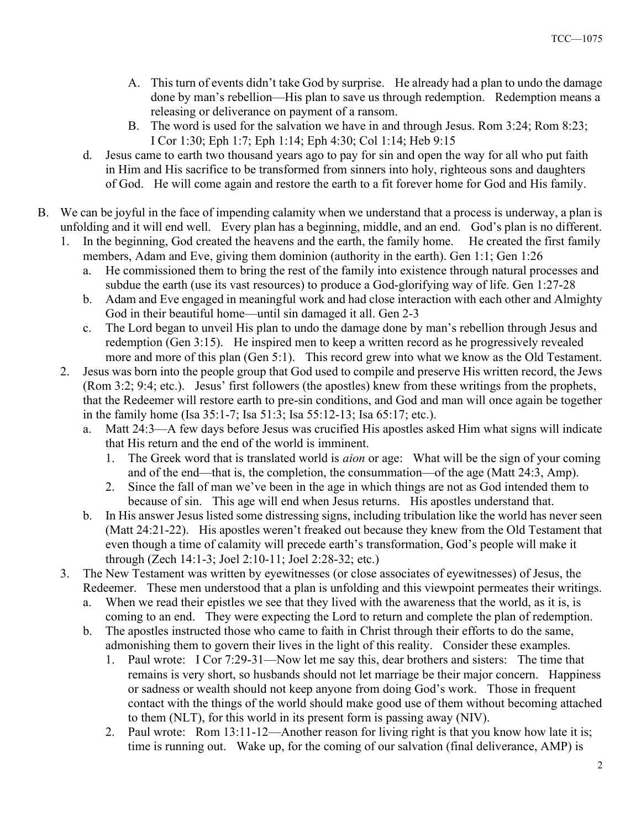- A. This turn of events didn't take God by surprise. He already had a plan to undo the damage done by man's rebellion—His plan to save us through redemption. Redemption means a releasing or deliverance on payment of a ransom.
- B. The word is used for the salvation we have in and through Jesus. Rom 3:24; Rom 8:23; I Cor 1:30; Eph 1:7; Eph 1:14; Eph 4:30; Col 1:14; Heb 9:15
- d. Jesus came to earth two thousand years ago to pay for sin and open the way for all who put faith in Him and His sacrifice to be transformed from sinners into holy, righteous sons and daughters of God. He will come again and restore the earth to a fit forever home for God and His family.
- B. We can be joyful in the face of impending calamity when we understand that a process is underway, a plan is unfolding and it will end well. Every plan has a beginning, middle, and an end. God's plan is no different.
	- 1. In the beginning, God created the heavens and the earth, the family home. He created the first family members, Adam and Eve, giving them dominion (authority in the earth). Gen 1:1; Gen 1:26
		- a. He commissioned them to bring the rest of the family into existence through natural processes and subdue the earth (use its vast resources) to produce a God-glorifying way of life. Gen 1:27-28
		- b. Adam and Eve engaged in meaningful work and had close interaction with each other and Almighty God in their beautiful home—until sin damaged it all. Gen 2-3
		- c. The Lord began to unveil His plan to undo the damage done by man's rebellion through Jesus and redemption (Gen 3:15). He inspired men to keep a written record as he progressively revealed more and more of this plan (Gen 5:1). This record grew into what we know as the Old Testament.
	- 2. Jesus was born into the people group that God used to compile and preserve His written record, the Jews (Rom 3:2; 9:4; etc.). Jesus' first followers (the apostles) knew from these writings from the prophets, that the Redeemer will restore earth to pre-sin conditions, and God and man will once again be together in the family home (Isa 35:1-7; Isa 51:3; Isa 55:12-13; Isa 65:17; etc.).
		- a. Matt 24:3—A few days before Jesus was crucified His apostles asked Him what signs will indicate that His return and the end of the world is imminent.
			- 1. The Greek word that is translated world is *aion* or age: What will be the sign of your coming and of the end—that is, the completion, the consummation—of the age (Matt 24:3, Amp).
			- 2. Since the fall of man we've been in the age in which things are not as God intended them to because of sin. This age will end when Jesus returns. His apostles understand that.
		- b. In His answer Jesus listed some distressing signs, including tribulation like the world has never seen (Matt 24:21-22). His apostles weren't freaked out because they knew from the Old Testament that even though a time of calamity will precede earth's transformation, God's people will make it through (Zech 14:1-3; Joel 2:10-11; Joel 2:28-32; etc.)
	- 3. The New Testament was written by eyewitnesses (or close associates of eyewitnesses) of Jesus, the Redeemer. These men understood that a plan is unfolding and this viewpoint permeates their writings.
		- a. When we read their epistles we see that they lived with the awareness that the world, as it is, is coming to an end. They were expecting the Lord to return and complete the plan of redemption.
		- b. The apostles instructed those who came to faith in Christ through their efforts to do the same, admonishing them to govern their lives in the light of this reality. Consider these examples.
			- 1. Paul wrote: I Cor 7:29-31—Now let me say this, dear brothers and sisters: The time that remains is very short, so husbands should not let marriage be their major concern. Happiness or sadness or wealth should not keep anyone from doing God's work. Those in frequent contact with the things of the world should make good use of them without becoming attached to them (NLT), for this world in its present form is passing away (NIV).
			- 2. Paul wrote: Rom 13:11-12—Another reason for living right is that you know how late it is; time is running out. Wake up, for the coming of our salvation (final deliverance, AMP) is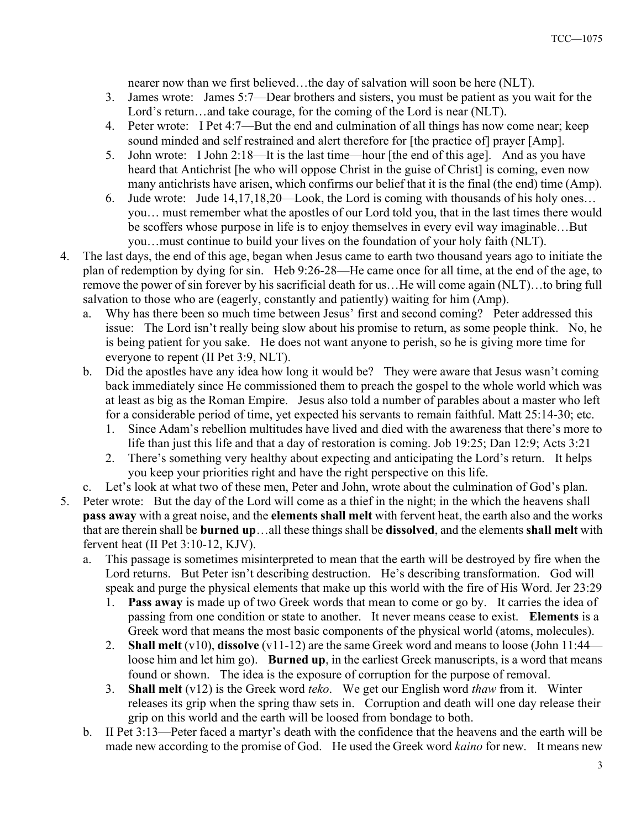nearer now than we first believed…the day of salvation will soon be here (NLT).

- 3. James wrote: James 5:7—Dear brothers and sisters, you must be patient as you wait for the Lord's return…and take courage, for the coming of the Lord is near (NLT).
- 4. Peter wrote: I Pet 4:7—But the end and culmination of all things has now come near; keep sound minded and self restrained and alert therefore for [the practice of] prayer [Amp].
- 5. John wrote: I John 2:18—It is the last time—hour [the end of this age]. And as you have heard that Antichrist [he who will oppose Christ in the guise of Christ] is coming, even now many antichrists have arisen, which confirms our belief that it is the final (the end) time (Amp).
- 6. Jude wrote: Jude 14,17,18,20—Look, the Lord is coming with thousands of his holy ones… you… must remember what the apostles of our Lord told you, that in the last times there would be scoffers whose purpose in life is to enjoy themselves in every evil way imaginable…But you…must continue to build your lives on the foundation of your holy faith (NLT).
- 4. The last days, the end of this age, began when Jesus came to earth two thousand years ago to initiate the plan of redemption by dying for sin. Heb 9:26-28—He came once for all time, at the end of the age, to remove the power of sin forever by his sacrificial death for us…He will come again (NLT)…to bring full salvation to those who are (eagerly, constantly and patiently) waiting for him (Amp).
	- a. Why has there been so much time between Jesus' first and second coming? Peter addressed this issue: The Lord isn't really being slow about his promise to return, as some people think. No, he is being patient for you sake. He does not want anyone to perish, so he is giving more time for everyone to repent (II Pet 3:9, NLT).
	- b. Did the apostles have any idea how long it would be? They were aware that Jesus wasn't coming back immediately since He commissioned them to preach the gospel to the whole world which was at least as big as the Roman Empire. Jesus also told a number of parables about a master who left for a considerable period of time, yet expected his servants to remain faithful. Matt 25:14-30; etc.
		- 1. Since Adam's rebellion multitudes have lived and died with the awareness that there's more to life than just this life and that a day of restoration is coming. Job 19:25; Dan 12:9; Acts 3:21
		- 2. There's something very healthy about expecting and anticipating the Lord's return. It helps you keep your priorities right and have the right perspective on this life.
		- Let's look at what two of these men, Peter and John, wrote about the culmination of God's plan.
- 5. Peter wrote: But the day of the Lord will come as a thief in the night; in the which the heavens shall pass away with a great noise, and the elements shall melt with fervent heat, the earth also and the works that are therein shall be burned up…all these things shall be dissolved, and the elements shall melt with fervent heat (II Pet 3:10-12, KJV).
	- a. This passage is sometimes misinterpreted to mean that the earth will be destroyed by fire when the Lord returns. But Peter isn't describing destruction. He's describing transformation. God will speak and purge the physical elements that make up this world with the fire of His Word. Jer 23:29
		- 1. Pass away is made up of two Greek words that mean to come or go by. It carries the idea of passing from one condition or state to another. It never means cease to exist. Elements is a Greek word that means the most basic components of the physical world (atoms, molecules).
		- 2. Shall melt  $(v10)$ , dissolve  $(v11-12)$  are the same Greek word and means to loose (John 11:44 loose him and let him go). **Burned up**, in the earliest Greek manuscripts, is a word that means found or shown. The idea is the exposure of corruption for the purpose of removal.
		- 3. Shall melt (v12) is the Greek word teko. We get our English word thaw from it. Winter releases its grip when the spring thaw sets in. Corruption and death will one day release their grip on this world and the earth will be loosed from bondage to both.
	- b. II Pet 3:13—Peter faced a martyr's death with the confidence that the heavens and the earth will be made new according to the promise of God. He used the Greek word kaino for new. It means new